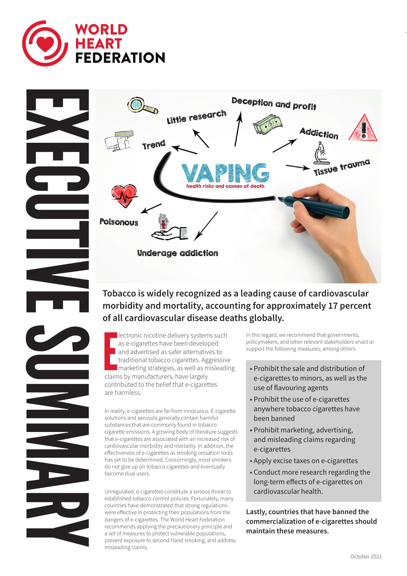



# **morbidity and mortality, accounting for approximately 17 percent of all cardiovascular disease deaths globally.**

lectronic nicotine delivery system<br>as e-cigarettes have been develop<br>and advertised as safer alternativ<br>traditional tobacco cigarettes. Ag<br>marketing strategies, as well as m<br>claims by manufacturers, have largely lectronic nicotine delivery systems such as e-cigarettes have been developed and advertised as safer alternatives to traditional tobacco cigarettes. Aggressive marketing strategies, as well as misleading contributed to the belief that e-cigarettes are harmless.

In reality, e-cigarettes are far from innocuous. E-cigarette solutions and aerosols generally contain harmful substances that are commonly found in tobacco cigarette emissions. A growing body of literature suggests that e-cigarettes are associated with an increased risk of cardiovascular morbidity and mortality. In addition, the effectiveness of e-cigarettes as smoking cessation tools has yet to be determined. Concerningly, most smokers do not give up on tobacco cigarettes and eventually become dual users.

Unregulated, e-cigarettes constitute a serious threat to established tobacco control policies. Fortunately, many countries have demonstrated that strong regulations were effective in protecting their populations from the dangers of e-cigarettes. The World Heart Federation recommends applying the precautionary principle and a set of measures to protect vulnerable populations, prevent exposure to second-hand smoking, and address misleading claims.

In this regard, we recommend that governments, policymakers, and other relevant stakeholders enact or support the following measures, among others:

- Prohibit the sale and distribution of e-cigarettes to minors, as well as the use of flavouring agents
- Prohibit the use of e-cigarettes anywhere tobacco cigarettes have been banned
- Prohibit marketing, advertising, and misleading claims regarding e-cigarettes
- Apply excise taxes on e-cigarettes
- Conduct more research regarding the long-term effects of e-cigarettes on cardiovascular health.

**Lastly, countries that have banned the commercialization of e-cigarettes should maintain these measures.**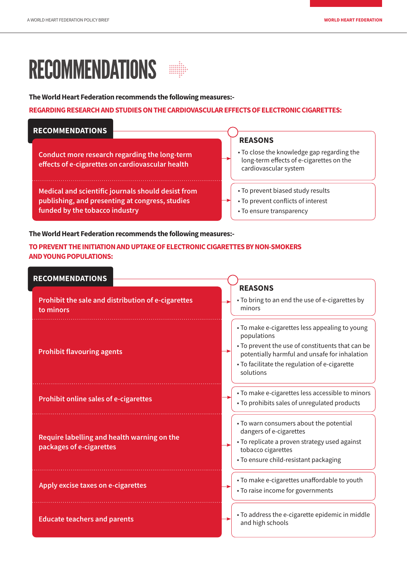# RECOMMENDATIONS

**The World Heart Federation recommends the following measures:-**

#### **REGARDING RESEARCH AND STUDIES ON THE CARDIOVASCULAR EFFECTS OF ELECTRONIC CIGARETTES:**

| <b>RECOMMENDATIONS</b>                                                                                                                  | <b>REASONS</b>                                                                                                  |  |
|-----------------------------------------------------------------------------------------------------------------------------------------|-----------------------------------------------------------------------------------------------------------------|--|
| Conduct more research regarding the long-term<br>effects of e-cigarettes on cardiovascular health                                       | • To close the knowledge gap regarding the<br>long-term effects of e-cigarettes on the<br>cardiovascular system |  |
| Medical and scientific journals should desist from<br>publishing, and presenting at congress, studies<br>funded by the tobacco industry | • To prevent biased study results<br>• To prevent conflicts of interest<br>• To ensure transparency             |  |

**The World Heart Federation recommends the following measures:-**

### **TO PREVENT THE INITIATION AND UPTAKE OF ELECTRONIC CIGARETTES BY NON-SMOKERS AND YOUNG POPULATIONS:**

| <b>RECOMMENDATIONS</b>                                                  |                                                                                                                                                                                                                                  |
|-------------------------------------------------------------------------|----------------------------------------------------------------------------------------------------------------------------------------------------------------------------------------------------------------------------------|
| Prohibit the sale and distribution of e-cigarettes<br>to minors         | <b>REASONS</b><br>• To bring to an end the use of e-cigarettes by<br>minors                                                                                                                                                      |
| <b>Prohibit flavouring agents</b>                                       | • To make e-cigarettes less appealing to young<br>populations<br>• To prevent the use of constituents that can be<br>potentially harmful and unsafe for inhalation<br>• To facilitate the regulation of e-cigarette<br>solutions |
| <b>Prohibit online sales of e-cigarettes</b>                            | • To make e-cigarettes less accessible to minors<br>· To prohibits sales of unregulated products                                                                                                                                 |
| Require labelling and health warning on the<br>packages of e-cigarettes | • To warn consumers about the potential<br>dangers of e-cigarettes<br>• To replicate a proven strategy used against<br>tobacco cigarettes<br>• To ensure child-resistant packaging                                               |
| Apply excise taxes on e-cigarettes                                      | • To make e-cigarettes unaffordable to youth<br>• To raise income for governments                                                                                                                                                |
| <b>Educate teachers and parents</b>                                     | • To address the e-cigarette epidemic in middle<br>and high schools                                                                                                                                                              |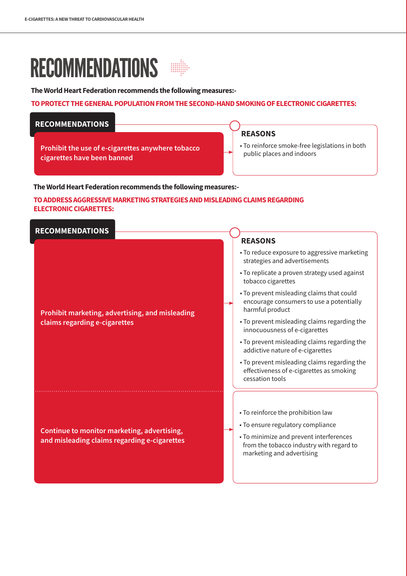# RECOMMENDATIONS

**The World Heart Federation recommends the following measures:-**

#### **TO PROTECT THE GENERAL POPULATION FROM THE SECOND-HAND SMOKING OF ELECTRONIC CIGARETTES:**

## **RECOMMENDATIONS**

**Prohibit the use of e-cigarettes anywhere tobacco cigarettes have been banned**

#### **REASONS**

• To reinforce smoke-free legislations in both public places and indoors

**The World Heart Federation recommends the following measures:-**

#### **TO ADDRESS AGGRESSIVE MARKETING STRATEGIES AND MISLEADING CLAIMS REGARDING ELECTRONIC CIGARETTES:**

### **RECOMMENDATIONS**

#### **Prohibit marketing, advertising, and misleading claims regarding e-cigarettes**

**Continue to monitor marketing, advertising, and misleading claims regarding e-cigarettes**

### **REASONS**

- To reduce exposure to aggressive marketing strategies and advertisements
- To replicate a proven strategy used against tobacco cigarettes
- To prevent misleading claims that could encourage consumers to use a potentially harmful product
- To prevent misleading claims regarding the innocuousness of e-cigarettes
- To prevent misleading claims regarding the addictive nature of e-cigarettes
- To prevent misleading claims regarding the effectiveness of e-cigarettes as smoking cessation tools
- To reinforce the prohibition law
- To ensure regulatory compliance
- To minimize and prevent interferences from the tobacco industry with regard to marketing and advertising